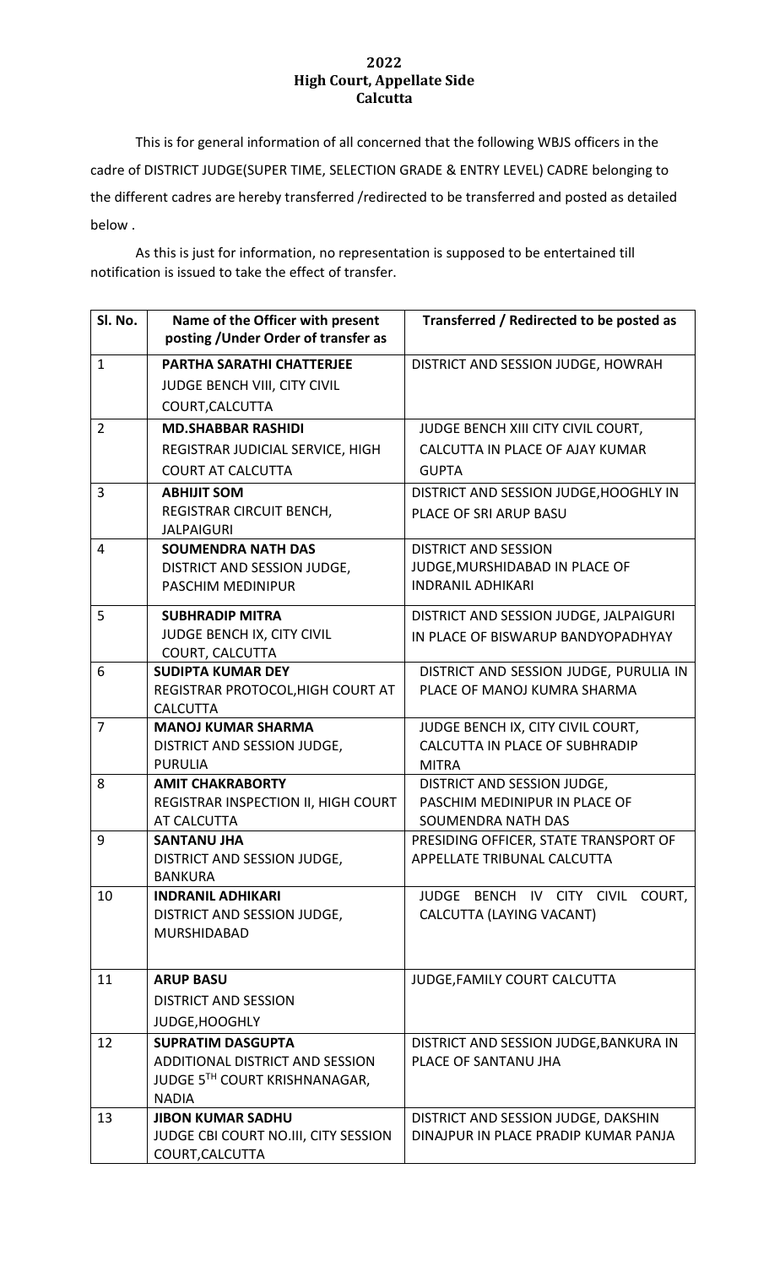## **2022 High Court, Appellate Side Calcutta**

This is for general information of all concerned that the following WBJS officers in the cadre of DISTRICT JUDGE(SUPER TIME, SELECTION GRADE & ENTRY LEVEL) CADRE belonging to the different cadres are hereby transferred /redirected to be transferred and posted as detailed below .

As this is just for information, no representation is supposed to be entertained till notification is issued to take the effect of transfer.

| Sl. No.        | Name of the Officer with present<br>posting / Under Order of transfer as             | Transferred / Redirected to be posted as                                           |
|----------------|--------------------------------------------------------------------------------------|------------------------------------------------------------------------------------|
| $\mathbf{1}$   | <b>PARTHA SARATHI CHATTERJEE</b><br>JUDGE BENCH VIII, CITY CIVIL<br>COURT, CALCUTTA  | DISTRICT AND SESSION JUDGE, HOWRAH                                                 |
| $\overline{2}$ | <b>MD.SHABBAR RASHIDI</b>                                                            | JUDGE BENCH XIII CITY CIVIL COURT,                                                 |
|                | REGISTRAR JUDICIAL SERVICE, HIGH<br><b>COURT AT CALCUTTA</b>                         | CALCUTTA IN PLACE OF AJAY KUMAR<br><b>GUPTA</b>                                    |
| 3              | <b>ABHIJIT SOM</b>                                                                   | DISTRICT AND SESSION JUDGE, HOOGHLY IN                                             |
|                | REGISTRAR CIRCUIT BENCH,<br><b>JALPAIGURI</b>                                        | PLACE OF SRI ARUP BASU                                                             |
| 4              | <b>SOUMENDRA NATH DAS</b>                                                            | <b>DISTRICT AND SESSION</b>                                                        |
|                | DISTRICT AND SESSION JUDGE,<br>PASCHIM MEDINIPUR                                     | JUDGE, MURSHIDABAD IN PLACE OF<br><b>INDRANIL ADHIKARI</b>                         |
| 5              | <b>SUBHRADIP MITRA</b>                                                               | DISTRICT AND SESSION JUDGE, JALPAIGURI                                             |
|                | JUDGE BENCH IX, CITY CIVIL<br><b>COURT, CALCUTTA</b>                                 | IN PLACE OF BISWARUP BANDYOPADHYAY                                                 |
| 6              | <b>SUDIPTA KUMAR DEY</b>                                                             | DISTRICT AND SESSION JUDGE, PURULIA IN                                             |
|                | REGISTRAR PROTOCOL, HIGH COURT AT<br><b>CALCUTTA</b>                                 | PLACE OF MANOJ KUMRA SHARMA                                                        |
| $\overline{7}$ | <b>MANOJ KUMAR SHARMA</b>                                                            | JUDGE BENCH IX, CITY CIVIL COURT,                                                  |
|                | DISTRICT AND SESSION JUDGE,<br><b>PURULIA</b>                                        | CALCUTTA IN PLACE OF SUBHRADIP<br><b>MITRA</b>                                     |
| 8              | <b>AMIT CHAKRABORTY</b><br>REGISTRAR INSPECTION II, HIGH COURT<br><b>AT CALCUTTA</b> | DISTRICT AND SESSION JUDGE,<br>PASCHIM MEDINIPUR IN PLACE OF<br>SOUMENDRA NATH DAS |
| 9              | <b>SANTANU JHA</b><br>DISTRICT AND SESSION JUDGE,<br><b>BANKURA</b>                  | PRESIDING OFFICER, STATE TRANSPORT OF<br>APPELLATE TRIBUNAL CALCUTTA               |
| 10             | <b>INDRANIL ADHIKARI</b><br>DISTRICT AND SESSION JUDGE,<br><b>MURSHIDABAD</b>        | JUDGE BENCH IV CITY CIVIL COURT,<br>CALCUTTA (LAYING VACANT)                       |
| 11             | <b>ARUP BASU</b>                                                                     | JUDGE, FAMILY COURT CALCUTTA                                                       |
|                | <b>DISTRICT AND SESSION</b>                                                          |                                                                                    |
|                | JUDGE, HOOGHLY                                                                       |                                                                                    |
| 12             | <b>SUPRATIM DASGUPTA</b>                                                             | DISTRICT AND SESSION JUDGE, BANKURA IN                                             |
|                | ADDITIONAL DISTRICT AND SESSION<br>JUDGE 5TH COURT KRISHNANAGAR,<br><b>NADIA</b>     | PLACE OF SANTANU JHA                                                               |
| 13             | <b>JIBON KUMAR SADHU</b>                                                             | DISTRICT AND SESSION JUDGE, DAKSHIN                                                |
|                | JUDGE CBI COURT NO.III, CITY SESSION<br>COURT, CALCUTTA                              | DINAJPUR IN PLACE PRADIP KUMAR PANJA                                               |